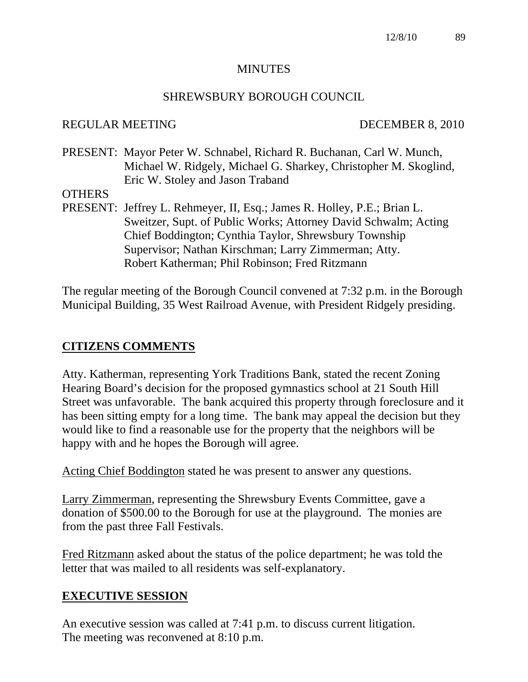#### **MINUTES**

#### SHREWSBURY BOROUGH COUNCIL

#### REGULAR MEETING DECEMBER 8, 2010

PRESENT: Mayor Peter W. Schnabel, Richard R. Buchanan, Carl W. Munch, Michael W. Ridgely, Michael G. Sharkey, Christopher M. Skoglind, Eric W. Stoley and Jason Traband

#### **OTHERS**

PRESENT: Jeffrey L. Rehmeyer, II, Esq.; James R. Holley, P.E.; Brian L. Sweitzer, Supt. of Public Works; Attorney David Schwalm; Acting Chief Boddington; Cynthia Taylor, Shrewsbury Township Supervisor; Nathan Kirschman; Larry Zimmerman; Atty. Robert Katherman; Phil Robinson; Fred Ritzmann

The regular meeting of the Borough Council convened at 7:32 p.m. in the Borough Municipal Building, 35 West Railroad Avenue, with President Ridgely presiding.

## **CITIZENS COMMENTS**

Atty. Katherman, representing York Traditions Bank, stated the recent Zoning Hearing Board's decision for the proposed gymnastics school at 21 South Hill Street was unfavorable. The bank acquired this property through foreclosure and it has been sitting empty for a long time. The bank may appeal the decision but they would like to find a reasonable use for the property that the neighbors will be happy with and he hopes the Borough will agree.

Acting Chief Boddington stated he was present to answer any questions.

Larry Zimmerman, representing the Shrewsbury Events Committee, gave a donation of \$500.00 to the Borough for use at the playground. The monies are from the past three Fall Festivals.

Fred Ritzmann asked about the status of the police department; he was told the letter that was mailed to all residents was self-explanatory.

## **EXECUTIVE SESSION**

An executive session was called at 7:41 p.m. to discuss current litigation. The meeting was reconvened at 8:10 p.m.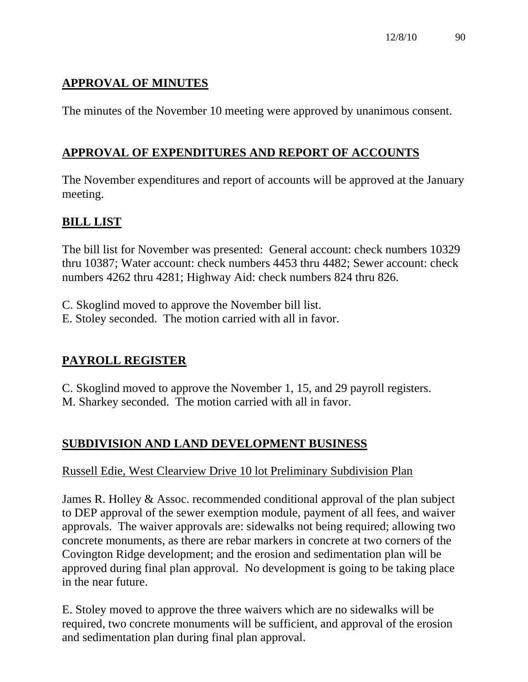# **APPROVAL OF MINUTES**

The minutes of the November 10 meeting were approved by unanimous consent.

# **APPROVAL OF EXPENDITURES AND REPORT OF ACCOUNTS**

The November expenditures and report of accounts will be approved at the January meeting.

# **BILL LIST**

The bill list for November was presented: General account: check numbers 10329 thru 10387; Water account: check numbers 4453 thru 4482; Sewer account: check numbers 4262 thru 4281; Highway Aid: check numbers 824 thru 826.

- C. Skoglind moved to approve the November bill list.
- E. Stoley seconded. The motion carried with all in favor.

## **PAYROLL REGISTER**

C. Skoglind moved to approve the November 1, 15, and 29 payroll registers. M. Sharkey seconded. The motion carried with all in favor.

# **SUBDIVISION AND LAND DEVELOPMENT BUSINESS**

#### Russell Edie, West Clearview Drive 10 lot Preliminary Subdivision Plan

James R. Holley & Assoc. recommended conditional approval of the plan subject to DEP approval of the sewer exemption module, payment of all fees, and waiver approvals. The waiver approvals are: sidewalks not being required; allowing two concrete monuments, as there are rebar markers in concrete at two corners of the Covington Ridge development; and the erosion and sedimentation plan will be approved during final plan approval. No development is going to be taking place in the near future.

E. Stoley moved to approve the three waivers which are no sidewalks will be required, two concrete monuments will be sufficient, and approval of the erosion and sedimentation plan during final plan approval.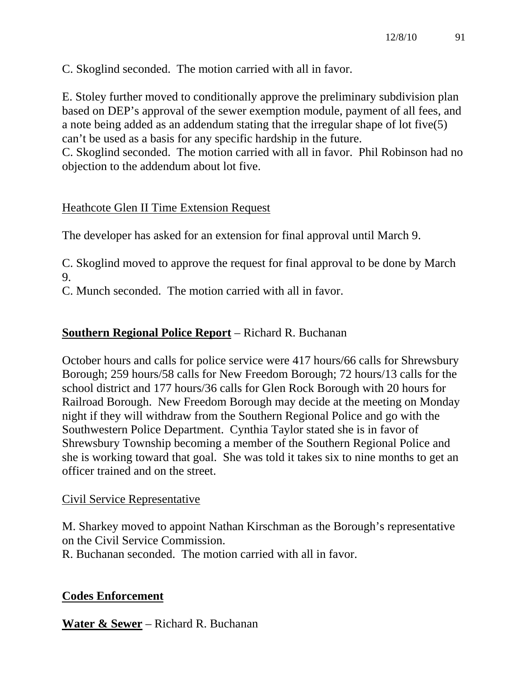C. Skoglind seconded. The motion carried with all in favor.

E. Stoley further moved to conditionally approve the preliminary subdivision plan based on DEP's approval of the sewer exemption module, payment of all fees, and a note being added as an addendum stating that the irregular shape of lot five(5) can't be used as a basis for any specific hardship in the future.

C. Skoglind seconded. The motion carried with all in favor. Phil Robinson had no objection to the addendum about lot five.

## Heathcote Glen II Time Extension Request

The developer has asked for an extension for final approval until March 9.

C. Skoglind moved to approve the request for final approval to be done by March 9.

C. Munch seconded. The motion carried with all in favor.

# **Southern Regional Police Report** – Richard R. Buchanan

October hours and calls for police service were 417 hours/66 calls for Shrewsbury Borough; 259 hours/58 calls for New Freedom Borough; 72 hours/13 calls for the school district and 177 hours/36 calls for Glen Rock Borough with 20 hours for Railroad Borough. New Freedom Borough may decide at the meeting on Monday night if they will withdraw from the Southern Regional Police and go with the Southwestern Police Department. Cynthia Taylor stated she is in favor of Shrewsbury Township becoming a member of the Southern Regional Police and she is working toward that goal. She was told it takes six to nine months to get an officer trained and on the street.

## Civil Service Representative

M. Sharkey moved to appoint Nathan Kirschman as the Borough's representative on the Civil Service Commission.

R. Buchanan seconded. The motion carried with all in favor.

## **Codes Enforcement**

**Water & Sewer** – Richard R. Buchanan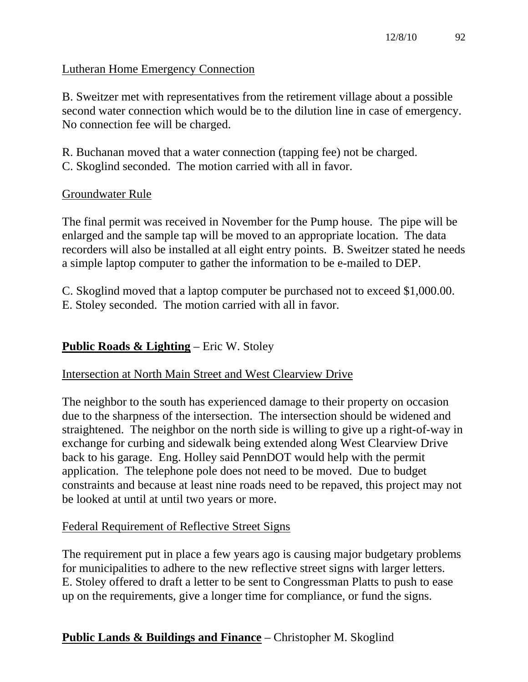## Lutheran Home Emergency Connection

B. Sweitzer met with representatives from the retirement village about a possible second water connection which would be to the dilution line in case of emergency. No connection fee will be charged.

R. Buchanan moved that a water connection (tapping fee) not be charged. C. Skoglind seconded. The motion carried with all in favor.

#### Groundwater Rule

The final permit was received in November for the Pump house. The pipe will be enlarged and the sample tap will be moved to an appropriate location. The data recorders will also be installed at all eight entry points. B. Sweitzer stated he needs a simple laptop computer to gather the information to be e-mailed to DEP.

C. Skoglind moved that a laptop computer be purchased not to exceed \$1,000.00. E. Stoley seconded. The motion carried with all in favor.

## **Public Roads & Lighting** – Eric W. Stoley

#### Intersection at North Main Street and West Clearview Drive

The neighbor to the south has experienced damage to their property on occasion due to the sharpness of the intersection. The intersection should be widened and straightened. The neighbor on the north side is willing to give up a right-of-way in exchange for curbing and sidewalk being extended along West Clearview Drive back to his garage. Eng. Holley said PennDOT would help with the permit application. The telephone pole does not need to be moved. Due to budget constraints and because at least nine roads need to be repaved, this project may not be looked at until at until two years or more.

#### Federal Requirement of Reflective Street Signs

The requirement put in place a few years ago is causing major budgetary problems for municipalities to adhere to the new reflective street signs with larger letters. E. Stoley offered to draft a letter to be sent to Congressman Platts to push to ease up on the requirements, give a longer time for compliance, or fund the signs.

## **Public Lands & Buildings and Finance** – Christopher M. Skoglind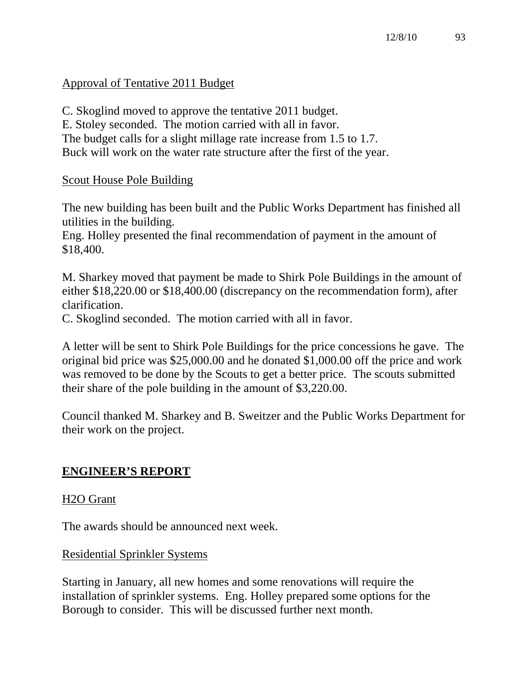## Approval of Tentative 2011 Budget

C. Skoglind moved to approve the tentative 2011 budget. E. Stoley seconded. The motion carried with all in favor. The budget calls for a slight millage rate increase from 1.5 to 1.7. Buck will work on the water rate structure after the first of the year.

#### Scout House Pole Building

The new building has been built and the Public Works Department has finished all utilities in the building.

Eng. Holley presented the final recommendation of payment in the amount of \$18,400.

M. Sharkey moved that payment be made to Shirk Pole Buildings in the amount of either \$18,220.00 or \$18,400.00 (discrepancy on the recommendation form), after clarification.

C. Skoglind seconded. The motion carried with all in favor.

A letter will be sent to Shirk Pole Buildings for the price concessions he gave. The original bid price was \$25,000.00 and he donated \$1,000.00 off the price and work was removed to be done by the Scouts to get a better price. The scouts submitted their share of the pole building in the amount of \$3,220.00.

Council thanked M. Sharkey and B. Sweitzer and the Public Works Department for their work on the project.

#### **ENGINEER'S REPORT**

#### H2O Grant

The awards should be announced next week.

#### Residential Sprinkler Systems

Starting in January, all new homes and some renovations will require the installation of sprinkler systems. Eng. Holley prepared some options for the Borough to consider. This will be discussed further next month.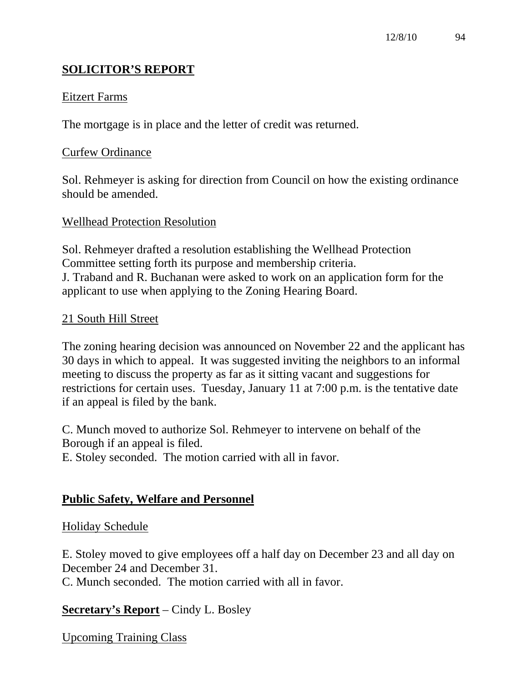# **SOLICITOR'S REPORT**

#### Eitzert Farms

The mortgage is in place and the letter of credit was returned.

#### Curfew Ordinance

Sol. Rehmeyer is asking for direction from Council on how the existing ordinance should be amended.

#### Wellhead Protection Resolution

Sol. Rehmeyer drafted a resolution establishing the Wellhead Protection Committee setting forth its purpose and membership criteria. J. Traband and R. Buchanan were asked to work on an application form for the applicant to use when applying to the Zoning Hearing Board.

#### 21 South Hill Street

The zoning hearing decision was announced on November 22 and the applicant has 30 days in which to appeal. It was suggested inviting the neighbors to an informal meeting to discuss the property as far as it sitting vacant and suggestions for restrictions for certain uses. Tuesday, January 11 at 7:00 p.m. is the tentative date if an appeal is filed by the bank.

C. Munch moved to authorize Sol. Rehmeyer to intervene on behalf of the Borough if an appeal is filed.

E. Stoley seconded. The motion carried with all in favor.

## **Public Safety, Welfare and Personnel**

#### Holiday Schedule

E. Stoley moved to give employees off a half day on December 23 and all day on December 24 and December 31.

C. Munch seconded. The motion carried with all in favor.

#### **Secretary's Report** – Cindy L. Bosley

Upcoming Training Class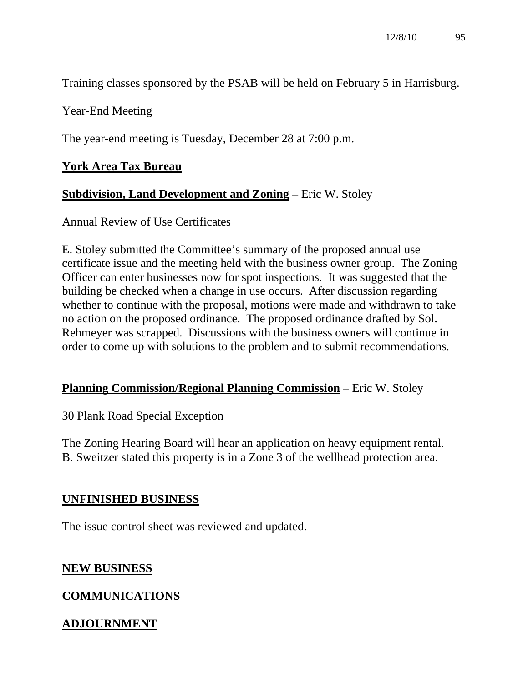Training classes sponsored by the PSAB will be held on February 5 in Harrisburg.

### Year-End Meeting

The year-end meeting is Tuesday, December 28 at 7:00 p.m.

### **York Area Tax Bureau**

## **Subdivision, Land Development and Zoning** – Eric W. Stoley

#### Annual Review of Use Certificates

E. Stoley submitted the Committee's summary of the proposed annual use certificate issue and the meeting held with the business owner group. The Zoning Officer can enter businesses now for spot inspections. It was suggested that the building be checked when a change in use occurs. After discussion regarding whether to continue with the proposal, motions were made and withdrawn to take no action on the proposed ordinance. The proposed ordinance drafted by Sol. Rehmeyer was scrapped. Discussions with the business owners will continue in order to come up with solutions to the problem and to submit recommendations.

#### **Planning Commission/Regional Planning Commission** – Eric W. Stoley

#### 30 Plank Road Special Exception

The Zoning Hearing Board will hear an application on heavy equipment rental. B. Sweitzer stated this property is in a Zone 3 of the wellhead protection area.

#### **UNFINISHED BUSINESS**

The issue control sheet was reviewed and updated.

#### **NEW BUSINESS**

## **COMMUNICATIONS**

# **ADJOURNMENT**